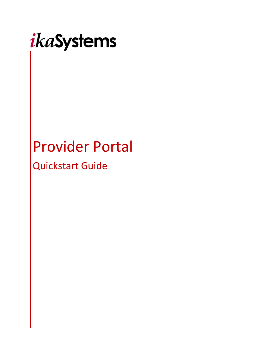

# Provider Portal

Quickstart Guide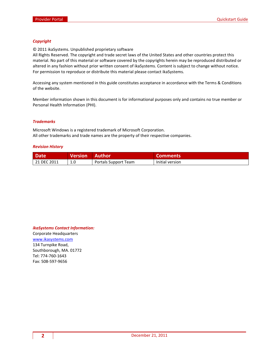#### *Copyright*

© 2011 ikaSystems. Unpublished proprietary software

All Rights Reserved. The copyright and trade secret laws of the United States and other countries protect this material. No part of this material or software covered by the copyrights herein may be reproduced distributed or altered in any fashion without prior written consent of ikaSystems. Content is subject to change without notice. For permission to reproduce or distribute this material please contact ikaSystems.

Accessing any system mentioned in this guide constitutes acceptance in accordance with the Terms & Conditions of the website.

Member information shown in this document is for informational purposes only and contains no true member or Personal Health Information (PHI).

#### *Trademarks*

Microsoft Windows is a registered trademark of Microsoft Corporation. All other trademarks and trade names are the property of their respective companies.

#### *Revision History*

| <b>Date</b> | <b>Version</b> | <b>Author</b>        | <b>Comments</b> |
|-------------|----------------|----------------------|-----------------|
| 21 DEC 2011 |                | Portals Support Team | Initial version |

#### *ikaSystems Contact Information:*

Corporate Headquarters [www.ikasystems.com](http://www.ikasystems.com/) 134 Turnpike Road, Southborough, MA. 01772 Tel: 774-760-1643 Fax: 508-597-9656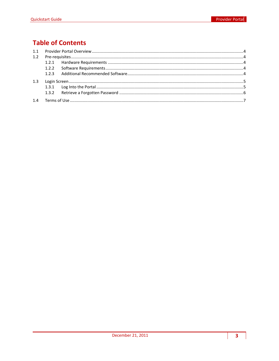# **Table of Contents**

| 1.2 |  |  |
|-----|--|--|
|     |  |  |
|     |  |  |
|     |  |  |
| 1.3 |  |  |
|     |  |  |
|     |  |  |
|     |  |  |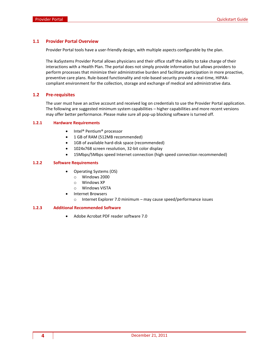#### <span id="page-3-0"></span>**1.1 Provider Portal Overview**

Provider Portal tools have a user-friendly design, with multiple aspects configurable by the plan.

The ikaSystems Provider Portal allows physicians and their office staff the ability to take charge of their interactions with a Health Plan. The portal does not simply provide information but allows providers to perform processes that minimize their administrative burden and facilitate participation in more proactive, preventive care plans. Rule-based functionality and role-based security provide a real-time, HIPAAcompliant environment for the collection, storage and exchange of medical and administrative data.

#### <span id="page-3-1"></span>**1.2 Pre-requisites**

The user must have an active account and received log on credentials to use the Provider Portal application. The following are suggested minimum system capabilities – higher capabilities and more recent versions may offer better performance. Please make sure all pop-up blocking software is turned off.

#### <span id="page-3-2"></span>**1.2.1 Hardware Requirements**

- Intel® Pentium® processor
- 1 GB of RAM (512MB recommended)
- 1GB of available hard-disk space (recommended)
- 1024x768 screen resolution, 32-bit color display
- 15Mbps/5Mbps speed Internet connection (high speed connection recommended)

#### <span id="page-3-3"></span>**1.2.2 Software Requirements**

- Operating Systems (OS)
	- o Windows 2000
	- o Windows XP
	- o Windows VISTA
	- Internet Browsers
		- o Internet Explorer 7.0 minimum may cause speed/performance issues

#### <span id="page-3-4"></span>**1.2.3 Additional Recommended Software**

Adobe Acrobat PDF reader software 7.0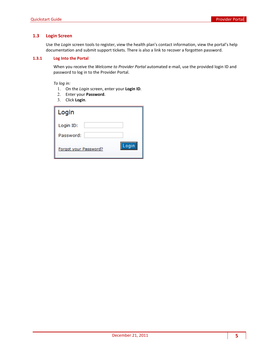# <span id="page-4-0"></span>**1.3 Login Screen**

Use the *Login* screen tools to register, view the health plan's contact information, view the portal's help documentation and submit support tickets. There is also a link to recover a forgotten password.

### <span id="page-4-1"></span>**1.3.1 Log Into the Portal**

When you receive the *Welcome to Provider Portal* automated e-mail, use the provided login ID and password to log in to the Provider Portal.

*To log in:*

- 1. On the *Login* screen, enter your **Login ID**.
- 2. Enter your **Password**.
- 3. Click **Login**.

| Login                 |       |
|-----------------------|-------|
| Login ID:             |       |
| Password:             |       |
| Forgot your Password? | Login |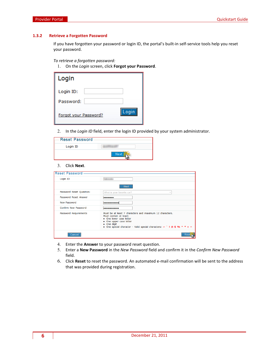#### <span id="page-5-0"></span>**1.3.2 Retrieve a Forgotten Password**

If you have forgotten your password or login ID, the portal's built-in self-service tools help you reset your password.

#### *To retrieve a forgotten password:*

1. On the *Login* screen, click **Forgot your Password**.

| Login                 |  |
|-----------------------|--|
| Login ID:             |  |
| Password:             |  |
| Forgot your Password? |  |

2. In the *Login ID* field, enter the login ID provided by your system administrator.

| <b>Reset Password</b> |  |
|-----------------------|--|
| Login ID              |  |
|                       |  |

## 3. Click **Next**.

| Reset Password           |                                                                                                                                                                                                                                         |
|--------------------------|-----------------------------------------------------------------------------------------------------------------------------------------------------------------------------------------------------------------------------------------|
| Login ID                 |                                                                                                                                                                                                                                         |
|                          | <b>Next</b>                                                                                                                                                                                                                             |
| Password Reset Question: | What is your favorite car?<br>v                                                                                                                                                                                                         |
| Password Reset Answer    |                                                                                                                                                                                                                                         |
| New Password             | .                                                                                                                                                                                                                                       |
| Confirm New Password     | ----------                                                                                                                                                                                                                              |
| Password Requirements    | Must be at least 7 characters and maximum 12 characters.<br>Must contain at least:<br>• One lower case letter<br>• One upper case letter<br>• One digit<br>• One special character - Valid special characters: $\sim$ 1 (a \$ % ^ * + = |
| Cancel                   |                                                                                                                                                                                                                                         |

- 4. Enter the **Answer** to your password reset question.
- 5. Enter a **New Password** in the *New Password* field and confirm it in the *Confirm New Password* field.
- 6. Click **Reset** to reset the password. An automated e-mail confirmation will be sent to the address that was provided during registration.